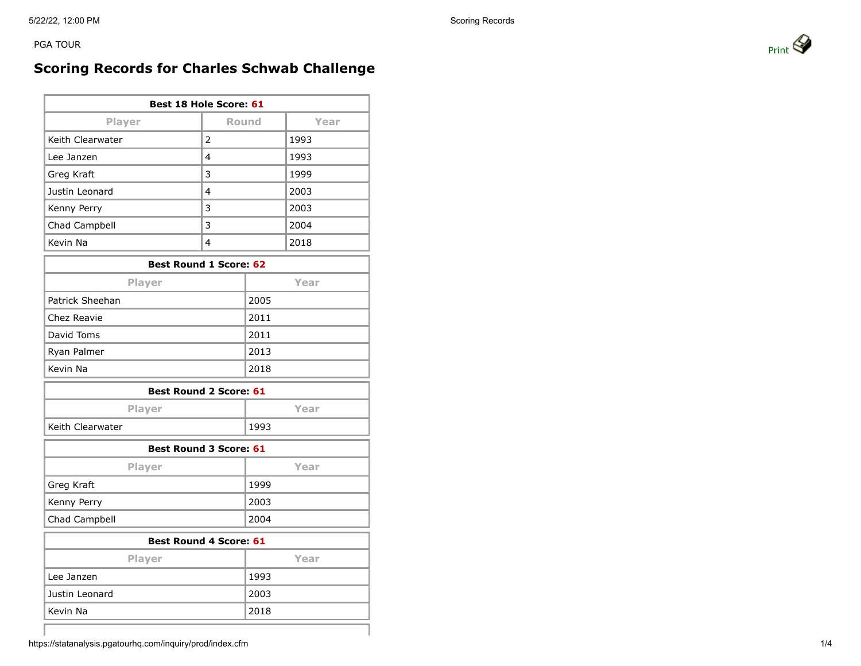PGA TOUR PRINT AND RESERVE TO A REPORT OF THE PRINT OF PRINT AND RESERVE TO A PRINT OF PRINT AND RESERVE TO A RESERVE TO A PRINT OF PRINT AND RESERVE TO A REPORT OF THE PRINT OF PRINT OF PRINT OF PRINT OF THE STATE OF THE

## **Scoring Records for Charles Schwab Challenge**

| <b>Best 18 Hole Score: 61</b> |      |  |  |
|-------------------------------|------|--|--|
| Round                         | Year |  |  |
| 2                             | 1993 |  |  |
| 4                             | 1993 |  |  |
| 3                             | 1999 |  |  |
| 4                             | 2003 |  |  |
| 3                             | 2003 |  |  |
| 3                             | 2004 |  |  |
| 4                             | 2018 |  |  |
|                               |      |  |  |

| <b>Best Round 1 Score: 62</b> |      |  |
|-------------------------------|------|--|
| Player                        | Year |  |
| Patrick Sheehan               | 2005 |  |
| Chez Reavie                   | 2011 |  |
| David Toms                    | 2011 |  |
| Ryan Palmer                   | 2013 |  |
| Kevin Na                      | 2018 |  |

| <b>Best Round 2 Score: 61</b> |      |  |  |
|-------------------------------|------|--|--|
| <b>Player</b>                 | Year |  |  |
| l Keith Clearwater            | 1993 |  |  |

| <b>Best Round 3 Score: 61</b> |      |  |  |
|-------------------------------|------|--|--|
| <b>Player</b>                 | Year |  |  |
| Greg Kraft                    | 1999 |  |  |
| Kenny Perry                   | 2003 |  |  |
| Chad Campbell                 | 2004 |  |  |

| <b>Best Round 4 Score: 61</b> |      |  |  |
|-------------------------------|------|--|--|
| <b>Player</b>                 | Year |  |  |
| Lee Janzen                    | 1993 |  |  |
| Justin Leonard                | 2003 |  |  |
| Kevin Na                      | 2018 |  |  |



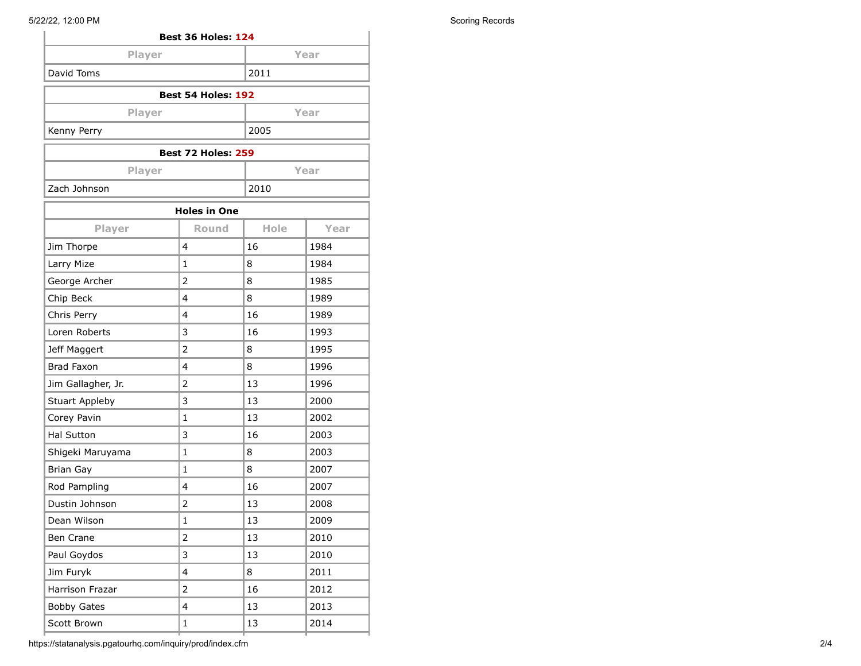| <b>Best 36 Holes: 124</b> |      |  |
|---------------------------|------|--|
| Player                    | Year |  |
| David Toms                | 2011 |  |
| Best 54 Holes: 192        |      |  |
|                           |      |  |

| <b>Player</b>             | Year |  |  |
|---------------------------|------|--|--|
| Kenny Perry               | 2005 |  |  |
| <b>Best 72 Holes: 259</b> |      |  |  |

| <b>Best 72 Holes: 259</b> |      |  |  |
|---------------------------|------|--|--|
| <b>Player</b>             | Year |  |  |
| Zach Johnson              | 2010 |  |  |
|                           |      |  |  |

| <b>Holes in One</b>    |                         |      |      |
|------------------------|-------------------------|------|------|
| Player                 | <b>Round</b>            | Hole | Year |
| Jim Thorpe             | $\overline{\mathbf{4}}$ | 16   | 1984 |
| Larry Mize             | $\mathbf{1}$            | 8    | 1984 |
| George Archer          | $\overline{2}$          | 8    | 1985 |
| Chip Beck              | $\overline{\mathbf{4}}$ | 8    | 1989 |
| Chris Perry            | $\overline{\mathbf{4}}$ | 16   | 1989 |
| Loren Roberts          | 3                       | 16   | 1993 |
| Jeff Maggert           | $\overline{2}$          | 8    | 1995 |
| <b>Brad Faxon</b>      | $\overline{\mathbf{4}}$ | 8    | 1996 |
| Jim Gallagher, Jr.     | $\overline{2}$          | 13   | 1996 |
| <b>Stuart Appleby</b>  | 3                       | 13   | 2000 |
| Corey Pavin            | $\mathbf{1}$            | 13   | 2002 |
| <b>Hal Sutton</b>      | 3                       | 16   | 2003 |
| Shigeki Maruyama       | $\mathbf{1}$            | 8    | 2003 |
| <b>Brian Gay</b>       | $\mathbf{1}$            | 8    | 2007 |
| Rod Pampling           | 4                       | 16   | 2007 |
| Dustin Johnson         | $\overline{2}$          | 13   | 2008 |
| Dean Wilson            | $\mathbf{1}$            | 13   | 2009 |
| Ben Crane              | $\overline{2}$          | 13   | 2010 |
| Paul Goydos            | 3                       | 13   | 2010 |
| Jim Furyk              | 4                       | 8    | 2011 |
| <b>Harrison Frazar</b> | $\overline{2}$          | 16   | 2012 |
| <b>Bobby Gates</b>     | 4                       | 13   | 2013 |
| Scott Brown            | $\mathbf{1}$            | 13   | 2014 |
|                        |                         |      |      |

https://statanalysis.pgatourhq.com/inquiry/prod/index.cfm 2/4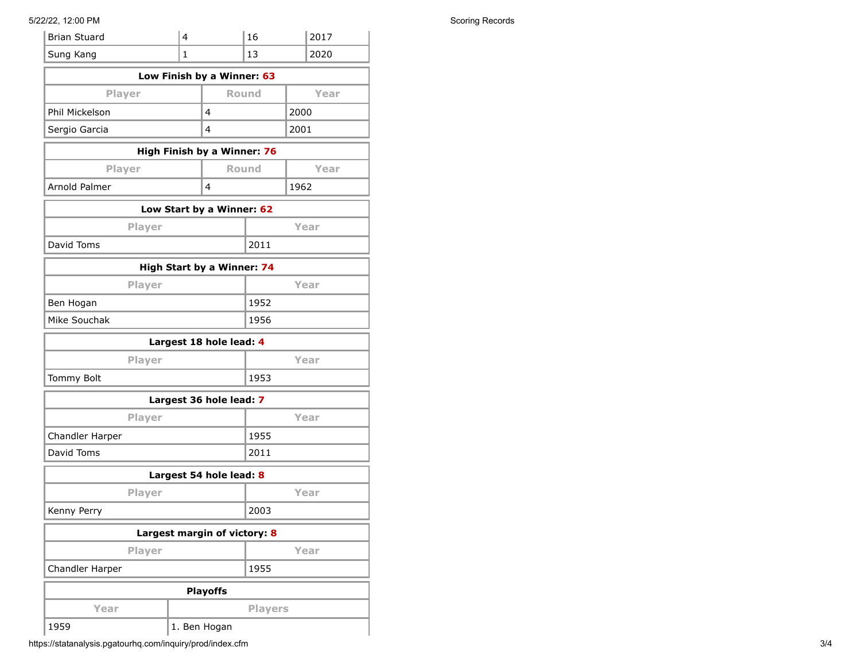## 5/22/22, 12:00 PM Scoring Records

| <b>Brian Stuard</b>          | 4            |                             | 16             |      | 2017 |
|------------------------------|--------------|-----------------------------|----------------|------|------|
| Sung Kang                    | $\mathbf{1}$ |                             | 13             |      | 2020 |
|                              |              | Low Finish by a Winner: 63  |                |      |      |
| Player                       |              | <b>Round</b>                |                |      | Year |
| Phil Mickelson               |              | 4                           |                | 2000 |      |
| Sergio Garcia                |              | 4                           |                | 2001 |      |
|                              |              | High Finish by a Winner: 76 |                |      |      |
| Player                       |              | <b>Round</b>                |                |      | Year |
| <b>Arnold Palmer</b>         |              | 4                           |                | 1962 |      |
|                              |              | Low Start by a Winner: 62   |                |      |      |
| Player                       |              |                             |                |      | Year |
| David Toms                   |              |                             | 2011           |      |      |
|                              |              | High Start by a Winner: 74  |                |      |      |
| Player                       |              |                             |                |      | Year |
| Ben Hogan                    |              |                             | 1952           |      |      |
| Mike Souchak                 |              |                             | 1956           |      |      |
| Largest 18 hole lead: 4      |              |                             |                |      |      |
| Player                       | Year         |                             |                |      |      |
| Tommy Bolt<br>1953           |              |                             |                |      |      |
|                              |              | Largest 36 hole lead: 7     |                |      |      |
| Player                       |              |                             |                |      | Year |
| Chandler Harper              |              |                             | 1955           |      |      |
| David Toms                   |              |                             | 2011           |      |      |
| Largest 54 hole lead: 8      |              |                             |                |      |      |
| Player                       |              |                             |                |      | Year |
| Kenny Perry                  |              |                             | 2003           |      |      |
| Largest margin of victory: 8 |              |                             |                |      |      |
| <b>Player</b>                |              |                             |                |      | Year |
| Chandler Harper              |              |                             | 1955           |      |      |
|                              |              | <b>Playoffs</b>             |                |      |      |
| Year                         |              |                             | <b>Players</b> |      |      |
| 1959                         |              | 1. Ben Hogan                |                |      |      |